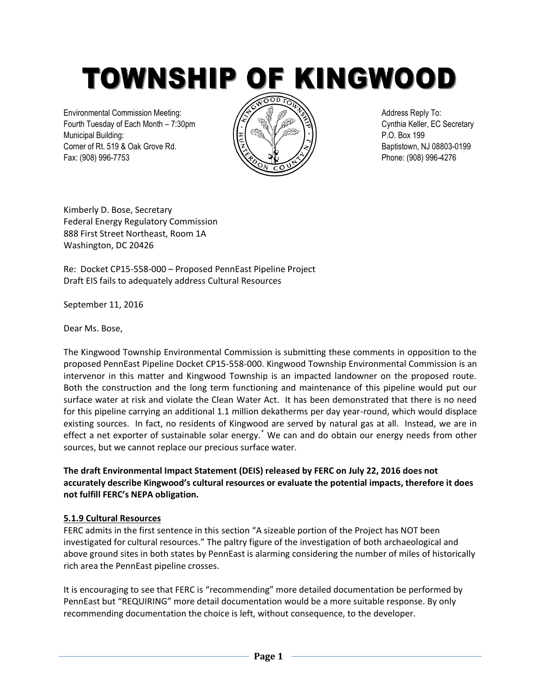TOWNSHIP OF KINGWOOD

Environmental Commission Meeting:  $\sqrt{\Leftrightarrow}$   $\sqrt{\Leftrightarrow}$   $\sqrt{\Leftrightarrow}$   $\sqrt{\Leftrightarrow}$  Address Reply To: Fourth Tuesday of Each Month – 7:30pm  $\sqrt{(\sqrt{2})}$  (5) Cynthia Keller, EC Secretary Municipal Building: P.O. Box 199 Corner of Rt. 519 & Oak Grove Rd.  $\sqrt{2}$   $\sqrt{2}$   $\sqrt{2}$   $\sqrt{2}$  Baptistown, NJ 08803-0199 Fax: (908) 996-7753 Phone: (908) 996-4276



Kimberly D. Bose, Secretary Federal Energy Regulatory Commission 888 First Street Northeast, Room 1A Washington, DC 20426

Re: Docket CP15-558-000 – Proposed PennEast Pipeline Project Draft EIS fails to adequately address Cultural Resources

September 11, 2016

Dear Ms. Bose,

The Kingwood Township Environmental Commission is submitting these comments in opposition to the proposed PennEast Pipeline Docket CP15-558-000. Kingwood Township Environmental Commission is an intervenor in this matter and Kingwood Township is an impacted landowner on the proposed route. Both the construction and the long term functioning and maintenance of this pipeline would put our surface water at risk and violate the Clean Water Act. It has been demonstrated that there is no need for this pipeline carrying an additional 1.1 million dekatherms per day year-round, which would displace existing sources. In fact, no residents of Kingwood are served by natural gas at all. Instead, we are in effect a net exporter of sustainable solar energy.<sup>\*</sup> We can and do obtain our energy needs from other sources, but we cannot replace our precious surface water.

**The draft Environmental Impact Statement (DEIS) released by FERC on July 22, 2016 does not accurately describe Kingwood's cultural resources or evaluate the potential impacts, therefore it does not fulfill FERC's NEPA obligation.** 

## **5.1.9 Cultural Resources**

FERC admits in the first sentence in this section "A sizeable portion of the Project has NOT been investigated for cultural resources." The paltry figure of the investigation of both archaeological and above ground sites in both states by PennEast is alarming considering the number of miles of historically rich area the PennEast pipeline crosses.

It is encouraging to see that FERC is "recommending" more detailed documentation be performed by PennEast but "REQUIRING" more detail documentation would be a more suitable response. By only recommending documentation the choice is left, without consequence, to the developer.